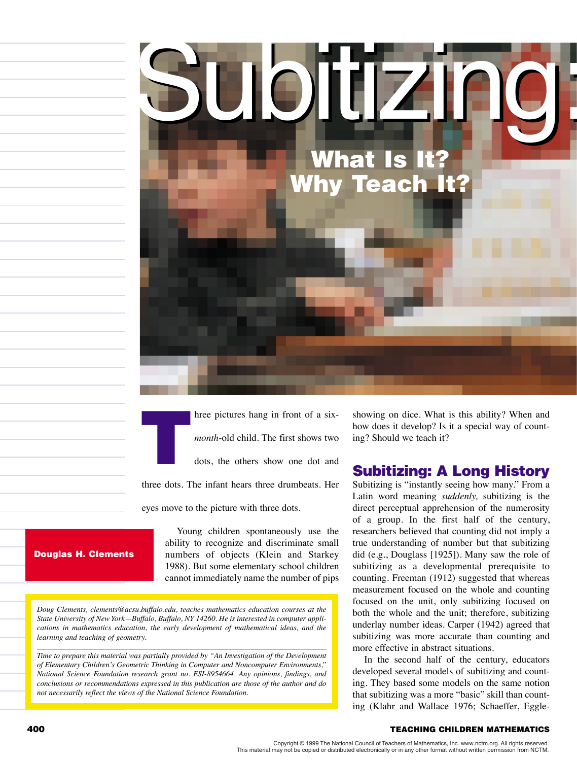

Interpretation and the pictures hang in front of a six-<br>month-old child. The first shows two<br>dots, the others show one dot and *month*-old child. The first shows two

dots, the others show one dot and

three dots. The infant hears three drumbeats. Her

eyes move to the picture with three dots.

Young children spontaneously use the ability to recognize and discriminate small numbers of objects (Klein and Starkey 1988). But some elementary school children cannot immediately name the number of pips

*Doug Clements, clements@acsu.buffalo.edu, teaches mathematics education courses at the*

Douglas H. Clements

*State University of New York—Buffalo, Buffalo, NY 14260. He is interested in computer applications in mathematics education, the early development of mathematical ideas, and the learning and teaching of geometry.*

*Time to prepare this material was partially provided by "An Investigation of the Development of Elementary Children's Geometric Thinking in Computer and Noncomputer Environments," National Science Foundation research grant no. ESI-8954664. Any opinions, findings, and conclusions or recommendations expressed in this publication are those of the author and do not necessarily reflect the views of the National Science Foundation.*

showing on dice. What is this ability? When and how does it develop? Is it a special way of counting? Should we teach it?

# Subitizing: A Long History

Subitizing is "instantly seeing how many." From a Latin word meaning *suddenly,* subitizing is the direct perceptual apprehension of the numerosity of a group. In the first half of the century, researchers believed that counting did not imply a true understanding of number but that subitizing did (e.g., Douglass [1925]). Many saw the role of subitizing as a developmental prerequisite to counting. Freeman (1912) suggested that whereas measurement focused on the whole and counting focused on the unit, only subitizing focused on both the whole and the unit; therefore, subitizing underlay number ideas. Carper (1942) agreed that subitizing was more accurate than counting and more effective in abstract situations.

In the second half of the century, educators developed several models of subitizing and counting. They based some models on the same notion that subitizing was a more "basic" skill than counting (Klahr and Wallace 1976; Schaeffer, Eggle-

#### 400 TEACHING CHILDREN MATHEMATICS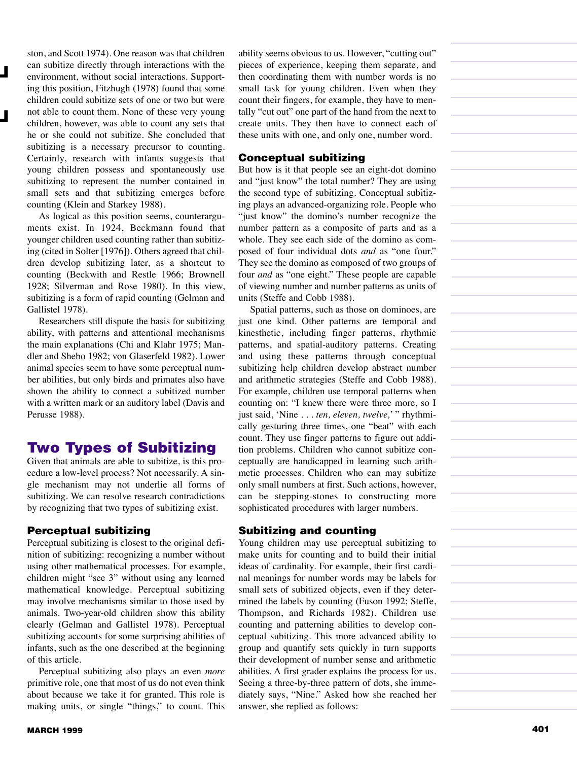ston, and Scott 1974). One reason was that children can subitize directly through interactions with the environment, without social interactions. Supporting this position, Fitzhugh (1978) found that some children could subitize sets of one or two but were not able to count them. None of these very young children, however, was able to count any sets that he or she could not subitize. She concluded that subitizing is a necessary precursor to counting. Certainly, research with infants suggests that young children possess and spontaneously use subitizing to represent the number contained in small sets and that subitizing emerges before counting (Klein and Starkey 1988).

:<br>;<br>;

As logical as this position seems, counterarguments exist. In 1924, Beckmann found that younger children used counting rather than subitizing (cited in Solter [1976]). Others agreed that children develop subitizing later, as a shortcut to counting (Beckwith and Restle 1966; Brownell 1928; Silverman and Rose 1980). In this view, subitizing is a form of rapid counting (Gelman and Gallistel 1978).

Researchers still dispute the basis for subitizing ability, with patterns and attentional mechanisms the main explanations (Chi and Klahr 1975; Mandler and Shebo 1982; von Glaserfeld 1982). Lower animal species seem to have some perceptual number abilities, but only birds and primates also have shown the ability to connect a subitized number with a written mark or an auditory label (Davis and Perusse 1988).

# Two Types of Subitizing

Given that animals are able to subitize, is this procedure a low-level process? Not necessarily. A single mechanism may not underlie all forms of subitizing. We can resolve research contradictions by recognizing that two types of subitizing exist.

### Perceptual subitizing

Perceptual subitizing is closest to the original definition of subitizing: recognizing a number without using other mathematical processes. For example, children might "see 3" without using any learned mathematical knowledge. Perceptual subitizing may involve mechanisms similar to those used by animals. Two-year-old children show this ability clearly (Gelman and Gallistel 1978). Perceptual subitizing accounts for some surprising abilities of infants, such as the one described at the beginning of this article.

Perceptual subitizing also plays an even *more* primitive role, one that most of us do not even think about because we take it for granted. This role is making units, or single "things," to count. This ability seems obvious to us. However, "cutting out" pieces of experience, keeping them separate, and then coordinating them with number words is no small task for young children. Even when they count their fingers, for example, they have to mentally "cut out" one part of the hand from the next to create units. They then have to connect each of these units with one, and only one, number word.

#### Conceptual subitizing

But how is it that people see an eight-dot domino and "just know" the total number? They are using the second type of subitizing. Conceptual subitizing plays an advanced-organizing role. People who "just know" the domino's number recognize the number pattern as a composite of parts and as a whole. They see each side of the domino as composed of four individual dots *and* as "one four." They see the domino as composed of two groups of four *and* as "one eight." These people are capable of viewing number and number patterns as units of units (Steffe and Cobb 1988).

Spatial patterns, such as those on dominoes, are just one kind. Other patterns are temporal and kinesthetic, including finger patterns, rhythmic patterns, and spatial-auditory patterns. Creating and using these patterns through conceptual subitizing help children develop abstract number and arithmetic strategies (Steffe and Cobb 1988). For example, children use temporal patterns when counting on: "I knew there were three more, so I just said, 'Nine . . . *ten, eleven, twelve,*' " rhythmically gesturing three times, one "beat" with each count. They use finger patterns to figure out addition problems. Children who cannot subitize conceptually are handicapped in learning such arithmetic processes. Children who can may subitize only small numbers at first. Such actions, however, can be stepping-stones to constructing more sophisticated procedures with larger numbers.

### Subitizing and counting

Young children may use perceptual subitizing to make units for counting and to build their initial ideas of cardinality. For example, their first cardinal meanings for number words may be labels for small sets of subitized objects, even if they determined the labels by counting (Fuson 1992; Steffe, Thompson, and Richards 1982). Children use counting and patterning abilities to develop conceptual subitizing. This more advanced ability to group and quantify sets quickly in turn supports their development of number sense and arithmetic abilities. A first grader explains the process for us. Seeing a three-by-three pattern of dots, she immediately says, "Nine." Asked how she reached her answer, she replied as follows: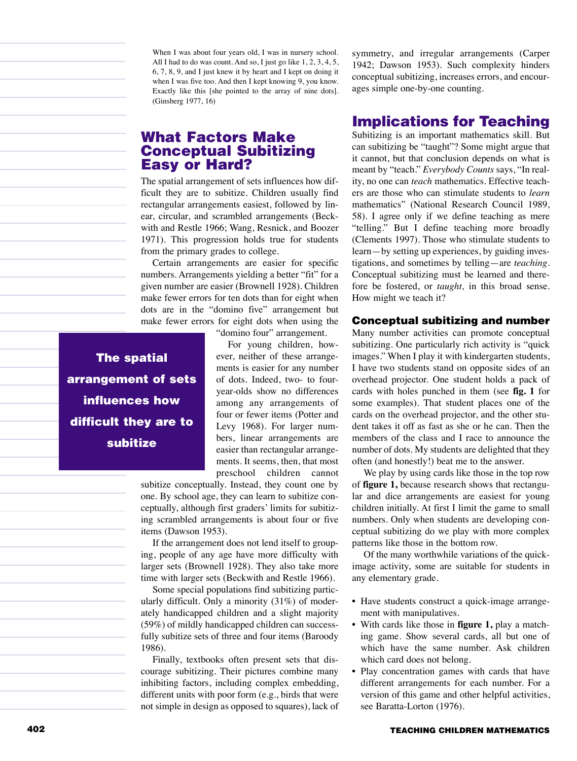When I was about four years old, I was in nursery school. All I had to do was count. And so, I just go like 1, 2, 3, 4, 5, 6, 7, 8, 9, and I just knew it by heart and I kept on doing it when I was five too. And then I kept knowing 9, you know. Exactly like this [she pointed to the array of nine dots]. (Ginsberg 1977, 16)

# What Factors Make Conceptual Subitizing Easy or Hard?

The spatial arrangement of sets influences how difficult they are to subitize. Children usually find rectangular arrangements easiest, followed by linear, circular, and scrambled arrangements (Beckwith and Restle 1966; Wang, Resnick, and Boozer 1971). This progression holds true for students from the primary grades to college.

Certain arrangements are easier for specific numbers. Arrangements yielding a better "fit" for a given number are easier (Brownell 1928). Children make fewer errors for ten dots than for eight when dots are in the "domino five" arrangement but make fewer errors for eight dots when using the

"domino four" arrangement.

For young children, however, neither of these arrangements is easier for any number of dots. Indeed, two- to fouryear-olds show no differences among any arrangements of four or fewer items (Potter and Levy 1968). For larger numbers, linear arrangements are easier than rectangular arrangements. It seems, then, that most preschool children cannot

subitize conceptually. Instead, they count one by one. By school age, they can learn to subitize conceptually, although first graders' limits for subitizing scrambled arrangements is about four or five items (Dawson 1953).

If the arrangement does not lend itself to grouping, people of any age have more difficulty with larger sets (Brownell 1928). They also take more time with larger sets (Beckwith and Restle 1966).

Some special populations find subitizing particularly difficult. Only a minority (31%) of moderately handicapped children and a slight majority (59%) of mildly handicapped children can successfully subitize sets of three and four items (Baroody 1986).

Finally, textbooks often present sets that discourage subitizing. Their pictures combine many inhibiting factors, including complex embedding, different units with poor form (e.g., birds that were not simple in design as opposed to squares), lack of symmetry, and irregular arrangements (Carper 1942; Dawson 1953). Such complexity hinders conceptual subitizing, increases errors, and encourages simple one-by-one counting.

# Implications for Teaching

Subitizing is an important mathematics skill. But can subitizing be "taught"? Some might argue that it cannot, but that conclusion depends on what is meant by "teach." *Everybody Counts* says, "In reality, no one can *teach* mathematics. Effective teachers are those who can stimulate students to *learn* mathematics" (National Research Council 1989, 58). I agree only if we define teaching as mere "telling." But I define teaching more broadly (Clements 1997). Those who stimulate students to learn—by setting up experiences, by guiding investigations, and sometimes by telling—are *teaching*. Conceptual subitizing must be learned and therefore be fostered, or *taught,* in this broad sense. How might we teach it?

#### Conceptual subitizing and number

Many number activities can promote conceptual subitizing. One particularly rich activity is "quick images." When I play it with kindergarten students, I have two students stand on opposite sides of an overhead projector. One student holds a pack of cards with holes punched in them (see **fig. 1** for some examples). That student places one of the cards on the overhead projector, and the other student takes it off as fast as she or he can. Then the members of the class and I race to announce the number of dots. My students are delighted that they often (and honestly!) beat me to the answer.

We play by using cards like those in the top row of **figure 1,** because research shows that rectangular and dice arrangements are easiest for young children initially. At first I limit the game to small numbers. Only when students are developing conceptual subitizing do we play with more complex patterns like those in the bottom row.

Of the many worthwhile variations of the quickimage activity, some are suitable for students in any elementary grade.

- Have students construct a quick-image arrangement with manipulatives.
- With cards like those in **figure 1,** play a matching game. Show several cards, all but one of which have the same number. Ask children which card does not belong.
- Play concentration games with cards that have different arrangements for each number. For a version of this game and other helpful activities, see Baratta-Lorton (1976).

The spatial arrangement of sets influences how difficult they are to subitize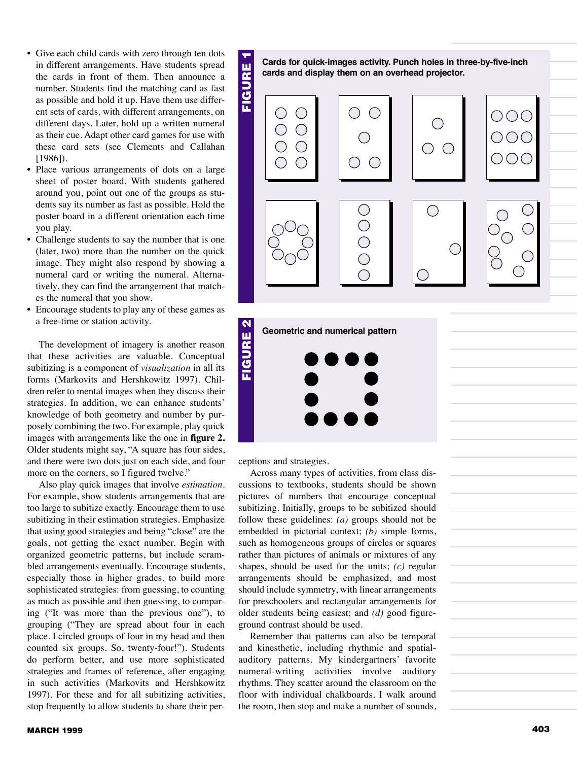- Give each child cards with zero through ten dots in different arrangements. Have students spread the cards in front of them. Then announce a number. Students find the matching card as fast as possible and hold it up. Have them use different sets of cards, with different arrangements, on different days. Later, hold up a written numeral as their cue. Adapt other card games for use with these card sets (see Clements and Callahan [1986]).
- Place various arrangements of dots on a large sheet of poster board. With students gathered around you, point out one of the groups as students say its number as fast as possible. Hold the poster board in a different orientation each time you play.
- Challenge students to say the number that is one (later, two) more than the number on the quick image. They might also respond by showing a numeral card or writing the numeral. Alternatively, they can find the arrangement that matches the numeral that you show.
- Encourage students to play any of these games as a free-time or station activity.

The development of imagery is another reason that these activities are valuable. Conceptual subitizing is a component of *visualization* in all its forms (Markovits and Hershkowitz 1997). Children refer to mental images when they discuss their strategies. In addition, we can enhance students' knowledge of both geometry and number by purposely combining the two. For example, play quick images with arrangements like the one in **figure 2.** Older students might say, "A square has four sides, and there were two dots just on each side, and four more on the corners, so I figured twelve."

Also play quick images that involve *estimation.* For example, show students arrangements that are too large to subitize exactly. Encourage them to use subitizing in their estimation strategies. Emphasize that using good strategies and being "close" are the goals, not getting the exact number. Begin with organized geometric patterns, but include scrambled arrangements eventually. Encourage students, especially those in higher grades, to build more sophisticated strategies: from guessing, to counting as much as possible and then guessing, to comparing ("It was more than the previous one"), to grouping ("They are spread about four in each place. I circled groups of four in my head and then counted six groups. So, twenty-four!"). Students do perform better, and use more sophisticated strategies and frames of reference, after engaging in such activities (Markovits and Hershkowitz 1997). For these and for all subitizing activities, stop frequently to allow students to share their per**cards and display them on an overhead projector.**



ceptions and strategies.

Across many types of activities, from class discussions to textbooks, students should be shown pictures of numbers that encourage conceptual subitizing. Initially, groups to be subitized should follow these guidelines: *(a)* groups should not be embedded in pictorial context; *(b)* simple forms, such as homogeneous groups of circles or squares rather than pictures of animals or mixtures of any shapes, should be used for the units; *(c)* regular arrangements should be emphasized, and most should include symmetry, with linear arrangements for preschoolers and rectangular arrangements for older students being easiest; and *(d)* good figureground contrast should be used.

Remember that patterns can also be temporal and kinesthetic, including rhythmic and spatialauditory patterns. My kindergartners' favorite numeral-writing activities involve auditory rhythms. They scatter around the classroom on the floor with individual chalkboards. I walk around the room, then stop and make a number of sounds,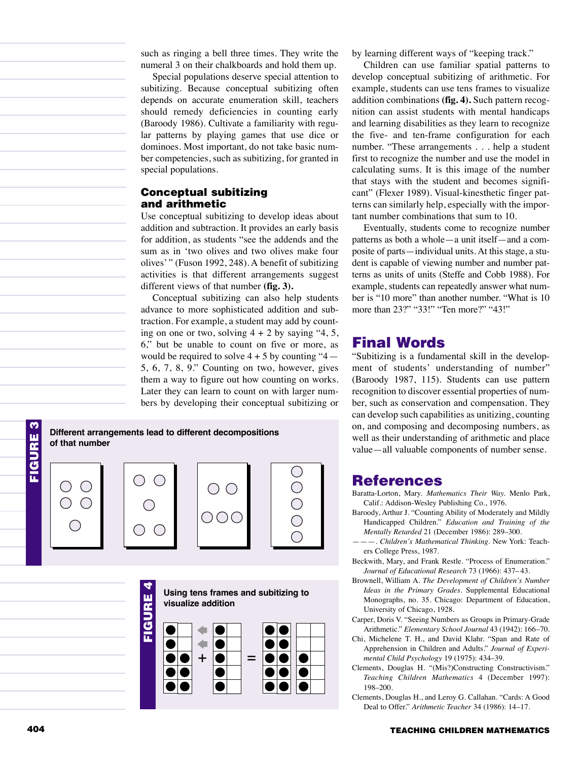such as ringing a bell three times. They write the numeral 3 on their chalkboards and hold them up.

Special populations deserve special attention to subitizing. Because conceptual subitizing often depends on accurate enumeration skill, teachers should remedy deficiencies in counting early (Baroody 1986). Cultivate a familiarity with regular patterns by playing games that use dice or dominoes. Most important, do not take basic number competencies, such as subitizing, for granted in special populations.

### Conceptual subitizing and arithmetic

Use conceptual subitizing to develop ideas about addition and subtraction. It provides an early basis for addition, as students "see the addends and the sum as in 'two olives and two olives make four olives' " (Fuson 1992, 248). A benefit of subitizing activities is that different arrangements suggest different views of that number **(fig. 3).**

Conceptual subitizing can also help students advance to more sophisticated addition and subtraction. For example, a student may add by counting on one or two, solving  $4 + 2$  by saying "4, 5, 6," but be unable to count on five or more, as would be required to solve  $4 + 5$  by counting "4 — 5, 6, 7, 8, 9." Counting on two, however, gives them a way to figure out how counting on works. Later they can learn to count on with larger numbers by developing their conceptual subitizing or



Children can use familiar spatial patterns to develop conceptual subitizing of arithmetic. For example, students can use tens frames to visualize addition combinations **(fig. 4).** Such pattern recognition can assist students with mental handicaps and learning disabilities as they learn to recognize the five- and ten-frame configuration for each number. "These arrangements . . . help a student first to recognize the number and use the model in calculating sums. It is this image of the number that stays with the student and becomes significant" (Flexer 1989). Visual-kinesthetic finger patterns can similarly help, especially with the important number combinations that sum to 10.

Eventually, students come to recognize number patterns as both a whole—a unit itself—and a composite of parts—individual units. At this stage, a student is capable of viewing number and number patterns as units of units (Steffe and Cobb 1988). For example, students can repeatedly answer what number is "10 more" than another number. "What is 10 more than 23?" "33!" "Ten more?" "43!"

# Final Words

"Subitizing is a fundamental skill in the development of students' understanding of number" (Baroody 1987, 115). Students can use pattern recognition to discover essential properties of number, such as conservation and compensation. They can develop such capabilities as unitizing, counting on, and composing and decomposing numbers, as well as their understanding of arithmetic and place value—all valuable components of number sense.

## References

- Baratta-Lorton, Mary. *Mathematics Their Way.* Menlo Park, Calif.: Addison-Wesley Publishing Co., 1976.
- Baroody, Arthur J. "Counting Ability of Moderately and Mildly Handicapped Children." *Education and Training of the Mentally Retarded* 21 (December 1986): 289–300.
- ———. *Children's Mathematical Thinking.* New York: Teachers College Press, 1987.
- Beckwith, Mary, and Frank Restle. "Process of Enumeration." *Journal of Educational Research* 73 (1966): 437– 43.
- Brownell, William A. *The Development of Children's Number Ideas in the Primary Grades.* Supplemental Educational Monographs, no. 35. Chicago: Department of Education, University of Chicago, 1928.
- Carper, Doris V. "Seeing Numbers as Groups in Primary-Grade Arithmetic." *Elementary School Journal* 43 (1942): 166–70.
- Chi, Michelene T. H., and David Klahr. "Span and Rate of Apprehension in Children and Adults." *Journal of Experimental Child Psychology* 19 (1975): 434–39.
- Clements, Douglas H. "(Mis?)Constructing Constructivism." *Teaching Children Mathematics* 4 (December 1997): 198–200.
- Clements, Douglas H., and Leroy G. Callahan. "Cards: A Good Deal to Offer." *Arithmetic Teacher* 34 (1986): 14–17.



**of that number**